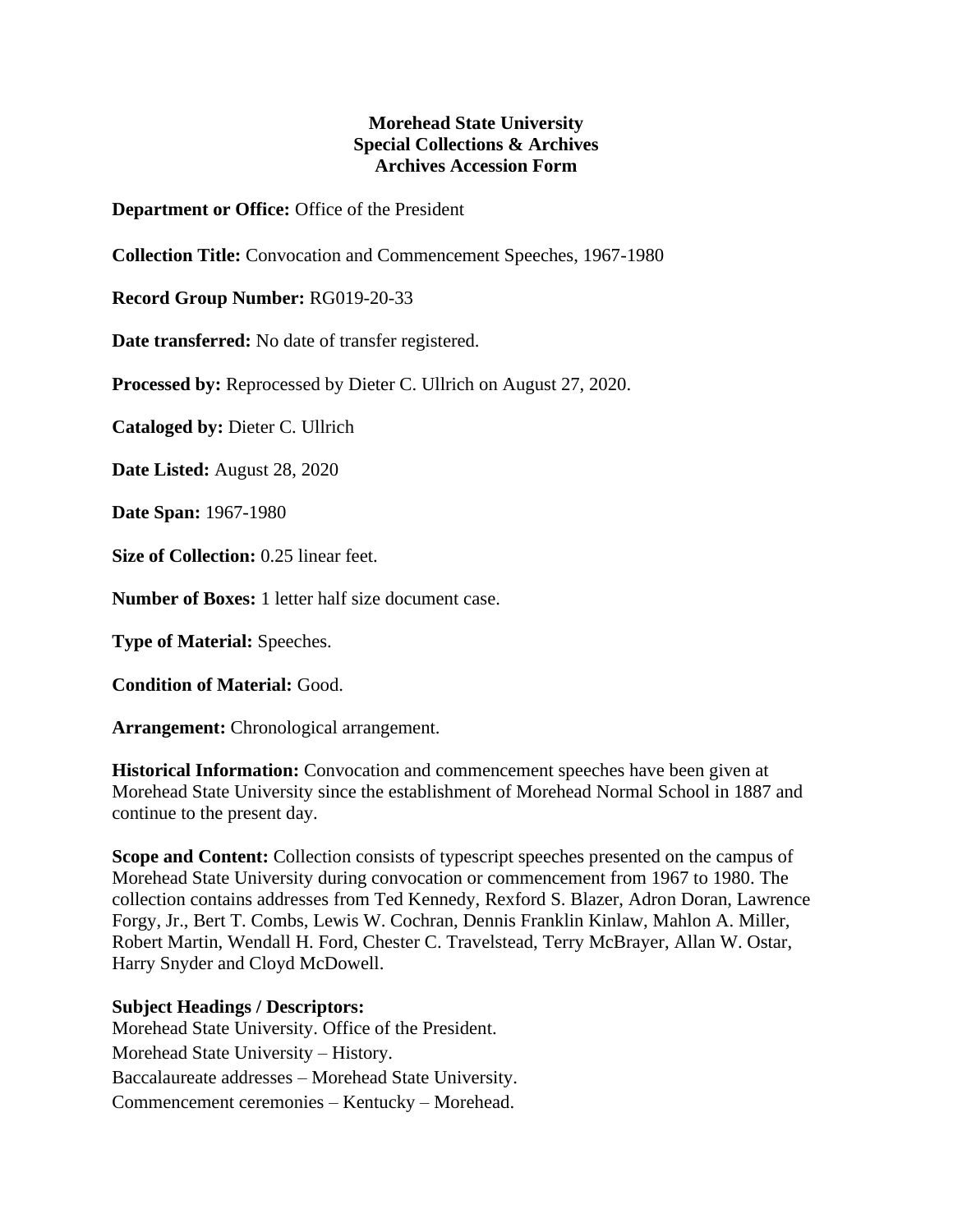## **Morehead State University Special Collections & Archives Archives Accession Form**

**Department or Office:** Office of the President

**Collection Title:** Convocation and Commencement Speeches, 1967-1980

**Record Group Number:** RG019-20-33

**Date transferred:** No date of transfer registered.

**Processed by:** Reprocessed by Dieter C. Ullrich on August 27, 2020.

**Cataloged by:** Dieter C. Ullrich

**Date Listed:** August 28, 2020

**Date Span:** 1967-1980

**Size of Collection:** 0.25 linear feet.

**Number of Boxes:** 1 letter half size document case.

**Type of Material:** Speeches.

**Condition of Material:** Good.

**Arrangement:** Chronological arrangement.

**Historical Information:** Convocation and commencement speeches have been given at Morehead State University since the establishment of Morehead Normal School in 1887 and continue to the present day.

**Scope and Content:** Collection consists of typescript speeches presented on the campus of Morehead State University during convocation or commencement from 1967 to 1980. The collection contains addresses from Ted Kennedy, Rexford S. Blazer, Adron Doran, Lawrence Forgy, Jr., Bert T. Combs, Lewis W. Cochran, Dennis Franklin Kinlaw, Mahlon A. Miller, Robert Martin, Wendall H. Ford, Chester C. Travelstead, Terry McBrayer, Allan W. Ostar, Harry Snyder and Cloyd McDowell.

## **Subject Headings / Descriptors:**

Morehead State University. Office of the President. Morehead State University – History. Baccalaureate addresses – Morehead State University. Commencement ceremonies – Kentucky – Morehead.